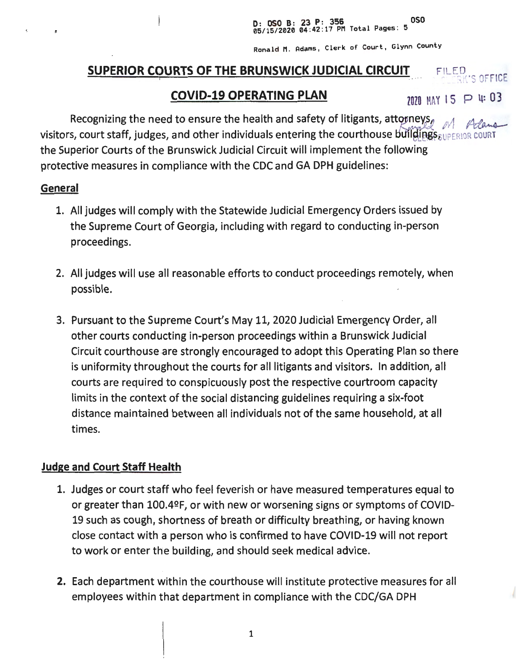D: OSO B: 23 P: 356<br>05/15/2020 04:42:17 PM Total Pages: 5

Ronald M. Adams, Clerk of Court, Glynn County

# **SUPERIOR COURTS OF THE BRUNSWICK JUDICIAL CIRCUIT**

# **COVID-19 OPERATING PLAN** *TOTH MAY 15 P 4: 03*

FFICE

Recognizing the need to ensure the health and safety of litigants, attorneys, visitors, court staff, judges, and other individuals entering the courthouse buildings  $\epsilon_{\text{EUPERIOR}}$  cour the Superior Courts of the Brunswick Judicial Circuit will implement the following protective measures in compliance with the CDC and GA DPH guidelines:

#### **General**

- 1. All judges will comply with the Statewide Judicial Emergency Orders issued by the Supreme Court of Georgia, including with regard to conducting in-person proceedings.
- 2. All judges will use all reasonable efforts to conduct proceedings remotely, when possible.
- 3. Pursuant to the Supreme Court's May 11, 2020 Judicial Emergency Order, all other courts conducting in-person proceedings within a Brunswick Judicial Circuit courthouse are strongly encouraged to adopt this Operating Plan so there is uniformity throughout the courts for all litigants and visitors. In addition, all courts are required to conspicuously post the respective courtroom capacity limits in the context of the social distancing guidelines requiring a six-foot distance maintained between all individuals not of the same household, at all times.

# **Judge and Court Staff Health**

- 1. Judges or court staff who feel feverish or have measured temperatures equal to or greater than 100.4ºF, or with new or worsening signs or symptoms of COVID-19 such as cough, shortness of breath or difficulty breathing, or having known close contact with a person who is confirmed to have COVID-19 will not report to work or enter the building, and should seek medical advice.
- **2.** Each department within the courthouse will institute protective measures for all employees within that department in compliance with the CDC/GA DPH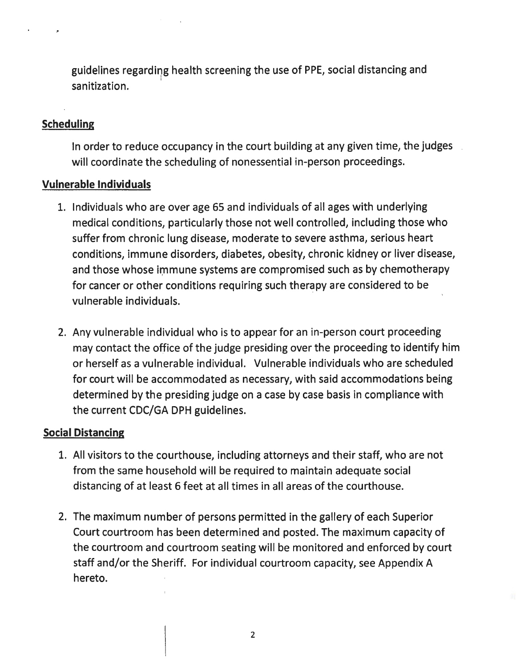guidelines regarding health screening the use of PPE, social distancing and I sanitization.

# **Scheduling**

In order to reduce occupancy in the court building at any given time, the judges will coordinate the scheduling of nonessential in-person proceedings.

#### **Vulnerable Individuals**

- 1. Individuals who are over age 65 and individuals of all ages with underlying medical conditions, particularly those not well controlled, including those who suffer from chronic lung disease, moderate to severe asthma, serious heart conditions, immune disorders, diabetes, obesity, chronic kidney or liver disease, and those whose immune systems are compromised such as by chemotherapy for cancer or other conditions requiring such therapy are considered to be vulnerable individuals.
- 2. Any vulnerable individual who is to appear for an in-person court proceeding may contact the office of the judge presiding over the proceeding to identify him or herself as a vulnerable individual. Vulnerable individuals who are scheduled for court will be accommodated as necessary, with said accommodations being determined by the presiding judge on a case by case basis in compliance with the current CDC/GA DPH guidelines.

#### **Social Distancing**

- 1. All visitors to the courthouse, including attorneys and their staff, who are not from the same household will be required to maintain adequate social distancing of at least 6 feet at all times in all areas of the courthouse.
- 2. The maximum number of persons permitted in the gallery of each Superior Court courtroom has been determined and posted. The maximum capacity of the courtroom and courtroom seating will be monitored and enforced by court staff and/or the Sheriff. For individual courtroom capacity, see Appendix A hereto.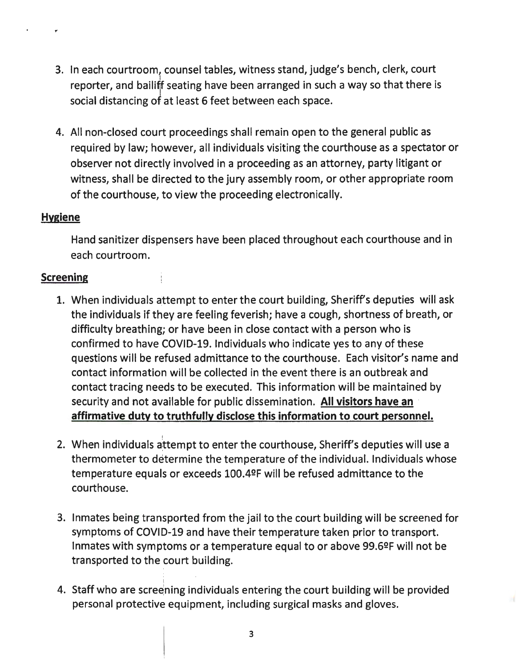- 3. In each courtroom, counsel tables, witness stand, judge's bench, clerk, court reporter, and bailiff seating have been arranged in such a way so that there is social distancing of at least 6 feet between each space.
- 4. All non-closed court proceedings shall remain open to the general public as required by law; however, all individuals visiting the courthouse as a spectator or observer not directly involved in a proceeding as an attorney, party litigant or witness, shall be directed to the jury assembly room, or other appropriate room of the courthouse, to view the proceeding electronically.

#### **Hygiene**

.,

Hand sanitizer dispensers have been placed throughout each courthouse and in each courtroom.

#### **Screening**

- 1. When individuals attempt to enter the court building, Sheriff's deputies will ask the individuals if they are feeling feverish; have a cough, shortness of breath, or difficulty breathing; or have been in close contact with a person who is confirmed to have COVID-19. Individuals who indicate yes to any of these questions will be refused admittance to the courthouse. Each visitor's name and contact information will be collected in the event there is an outbreak and contact tracing needs to be executed. This information will be maintained by security and not available for public dissemination. **All visitors have an affirmative duty to truthfully disclose this information to court personnel.**
- I 2. When individuals attempt to enter the courthouse, Sheriff's deputies will use a thermometer to determine the temperature of the individual. Individuals whose temperature equals or exceeds 100.4ºF will be refused admittance to the courthouse.
- 3. Inmates being transported from the jail to the court building will be screened for symptoms of COVID-19 and have their temperature taken prior to transport. Inmates with symptoms or a temperature equal to or above  $99.6^{\circ}$ F will not be transported to the court building.
- 4. Staff who are screening individuals entering the court building will be provided personal protective equipment, including surgical masks and gloves.

I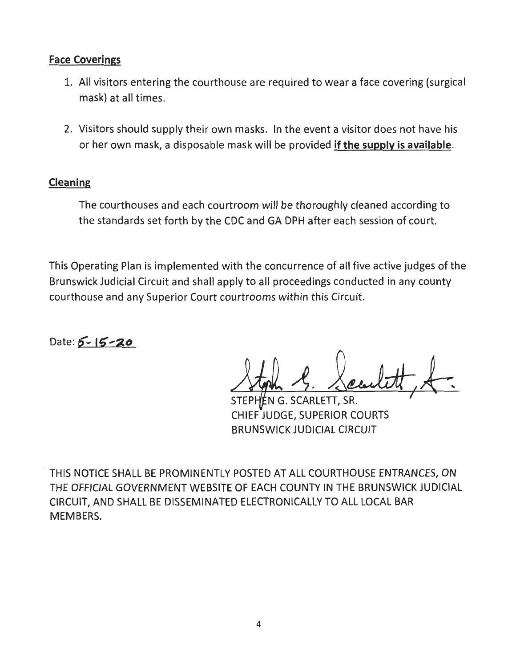### **Face Coverings**

- 1. All visitors entering the courthouse are required to wear a face covering (surgical mask) at all times.
- 2. Visitors should supply their own masks. In the event a visitor does not have his or her own mask, a disposable mask will be provided **if the supply is available.**

# **Cleaning**

The courthouses and each courtroom will be thoroughly cleaned according to the standards set forth by the CDC and GA DPH after each session of court.

This Operating Plan is implemented with the concurrence of all five active judges of the Brunswick Judicial Circuit and shall apply to all proceedings conducted in any county courthouse and any Superior Court courtrooms within this Circuit.

Date: **5 - 15 - 20** 

STEPHEN G. SCARLETT, SR. CHIEF JUDGE, SUPERIOR COURTS BRUNSWICK JUDICIAL CIRCUIT

THIS NOTICE SHALL BE PROMINENTLY POSTED AT ALL COURTHOUSE ENTRANCES, ON THE OFFICIAL GOVERNMENT WEBSITE OF EACH COUNTY IN THE BRUNSWICK JUDICIAL CIRCUIT, AND SHALL BE DISSEMINATED ELECTRONICALLY TO ALL LOCAL BAR MEMBERS.